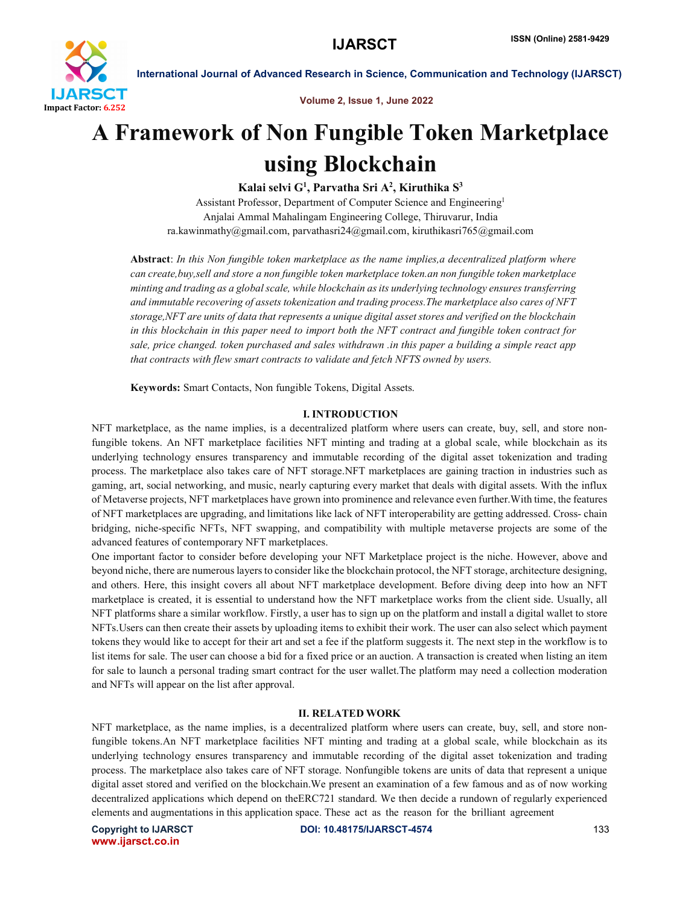

# Volume 2, Issue 1, June 2022

# A Framework of Non Fungible Token Marketplace using Blockchain

Kalai selvi G<sup>1</sup>, Parvatha Sri A<sup>2</sup>, Kiruthika S<sup>3</sup>

Assistant Professor, Department of Computer Science and Engineering1 Anjalai Ammal Mahalingam Engineering College, Thiruvarur, India ra.kawinmathy@gmail.com, parvathasri24@gmail.com, kiruthikasri765@gmail.com

Abstract: *In this Non fungible token marketplace as the name implies,a decentralized platform where can create,buy,sell and store a non fungible token marketplace token.an non fungible token marketplace minting and trading as a global scale, while blockchain as its underlying technology ensures transferring and immutable recovering of assets tokenization and trading process.The marketplace also cares of NFT storage,NFT are units of data that represents a unique digital asset stores and verified on the blockchain in this blockchain in this paper need to import both the NFT contract and fungible token contract for sale, price changed. token purchased and sales withdrawn .in this paper a building a simple react app that contracts with flew smart contracts to validate and fetch NFTS owned by users.*

Keywords: Smart Contacts, Non fungible Tokens, Digital Assets.

# I. INTRODUCTION

NFT marketplace, as the name implies, is a decentralized platform where users can create, buy, sell, and store nonfungible tokens. An NFT marketplace facilities NFT minting and trading at a global scale, while blockchain as its underlying technology ensures transparency and immutable recording of the digital asset tokenization and trading process. The marketplace also takes care of NFT storage.NFT marketplaces are gaining traction in industries such as gaming, art, social networking, and music, nearly capturing every market that deals with digital assets. With the influx of Metaverse projects, NFT marketplaces have grown into prominence and relevance even further.With time, the features of NFT marketplaces are upgrading, and limitations like lack of NFT interoperability are getting addressed. Cross- chain bridging, niche-specific NFTs, NFT swapping, and compatibility with multiple metaverse projects are some of the advanced features of contemporary NFT marketplaces.

One important factor to consider before developing your NFT Marketplace project is the niche. However, above and beyond niche, there are numerous layers to consider like the blockchain protocol, the NFT storage, architecture designing, and others. Here, this insight covers all about NFT marketplace development. Before diving deep into how an NFT marketplace is created, it is essential to understand how the NFT marketplace works from the client side. Usually, all NFT platforms share a similar workflow. Firstly, a user has to sign up on the platform and install a digital wallet to store NFTs.Users can then create their assets by uploading items to exhibit their work. The user can also select which payment tokens they would like to accept for their art and set a fee if the platform suggests it. The next step in the workflow is to list items for sale. The user can choose a bid for a fixed price or an auction. A transaction is created when listing an item for sale to launch a personal trading smart contract for the user wallet.The platform may need a collection moderation and NFTs will appear on the list after approval.

#### II. RELATED WORK

NFT marketplace, as the name implies, is a decentralized platform where users can create, buy, sell, and store nonfungible tokens.An NFT marketplace facilities NFT minting and trading at a global scale, while blockchain as its underlying technology ensures transparency and immutable recording of the digital asset tokenization and trading process. The marketplace also takes care of NFT storage. Nonfungible tokens are units of data that represent a unique digital asset stored and verified on the blockchain.We present an examination of a few famous and as of now working decentralized applications which depend on theERC721 standard. We then decide a rundown of regularly experienced elements and augmentations in this application space. These act as the reason for the brilliant agreement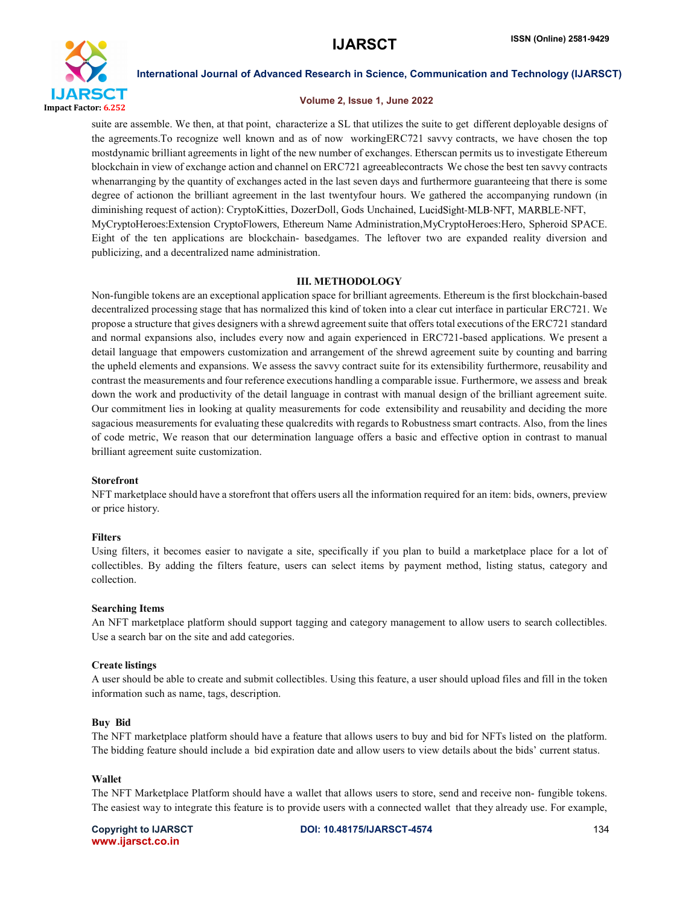

### Volume 2, Issue 1, June 2022

suite are assemble. We then, at that point, characterize a SL that utilizes the suite to get different deployable designs of the agreements.To recognize well known and as of now workingERC721 savvy contracts, we have chosen the top mostdynamic brilliant agreements in light of the new number of exchanges. Etherscan permits us to investigate Ethereum blockchain in view of exchange action and channel on ERC721 agreeablecontracts We chose the best ten savvy contracts whenarranging by the quantity of exchanges acted in the last seven days and furthermore guaranteeing that there is some degree of actionon the brilliant agreement in the last twentyfour hours. We gathered the accompanying rundown (in diminishing request of action): CryptoKitties, DozerDoll, Gods Unchained, LucidSight-MLB-NFT, MARBLE-NFT, MyCryptoHeroes:Extension CryptoFlowers, Ethereum Name Administration,MyCryptoHeroes:Hero, Spheroid SPACE. Eight of the ten applications are blockchain- basedgames. The leftover two are expanded reality diversion and publicizing, and a decentralized name administration.

# III. METHODOLOGY

Non-fungible tokens are an exceptional application space for brilliant agreements. Ethereum is the first blockchain-based decentralized processing stage that has normalized this kind of token into a clear cut interface in particular ERC721. We propose a structure that gives designers with a shrewd agreement suite that offers total executions of the ERC721 standard and normal expansions also, includes every now and again experienced in ERC721-based applications. We present a detail language that empowers customization and arrangement of the shrewd agreement suite by counting and barring the upheld elements and expansions. We assess the savvy contract suite for its extensibility furthermore, reusability and contrast the measurements and four reference executions handling a comparable issue. Furthermore, we assess and break down the work and productivity of the detail language in contrast with manual design of the brilliant agreement suite. Our commitment lies in looking at quality measurements for code extensibility and reusability and deciding the more sagacious measurements for evaluating these qualcredits with regards to Robustness smart contracts. Also, from the lines of code metric, We reason that our determination language offers a basic and effective option in contrast to manual brilliant agreement suite customization.

### Storefront

NFT marketplace should have a storefront that offers users all the information required for an item: bids, owners, preview or price history.

### Filters

Using filters, it becomes easier to navigate a site, specifically if you plan to build a marketplace place for a lot of collectibles. By adding the filters feature, users can select items by payment method, listing status, category and collection.

### Searching Items

An NFT marketplace platform should support tagging and category management to allow users to search collectibles. Use a search bar on the site and add categories.

### Create listings

A user should be able to create and submit collectibles. Using this feature, a user should upload files and fill in the token information such as name, tags, description.

#### Buy Bid

The NFT marketplace platform should have a feature that allows users to buy and bid for NFTs listed on the platform. The bidding feature should include a bid expiration date and allow users to view details about the bids' current status.

### Wallet

The NFT Marketplace Platform should have a wallet that allows users to store, send and receive non- fungible tokens. The easiest way to integrate this feature is to provide users with a connected wallet that they already use. For example,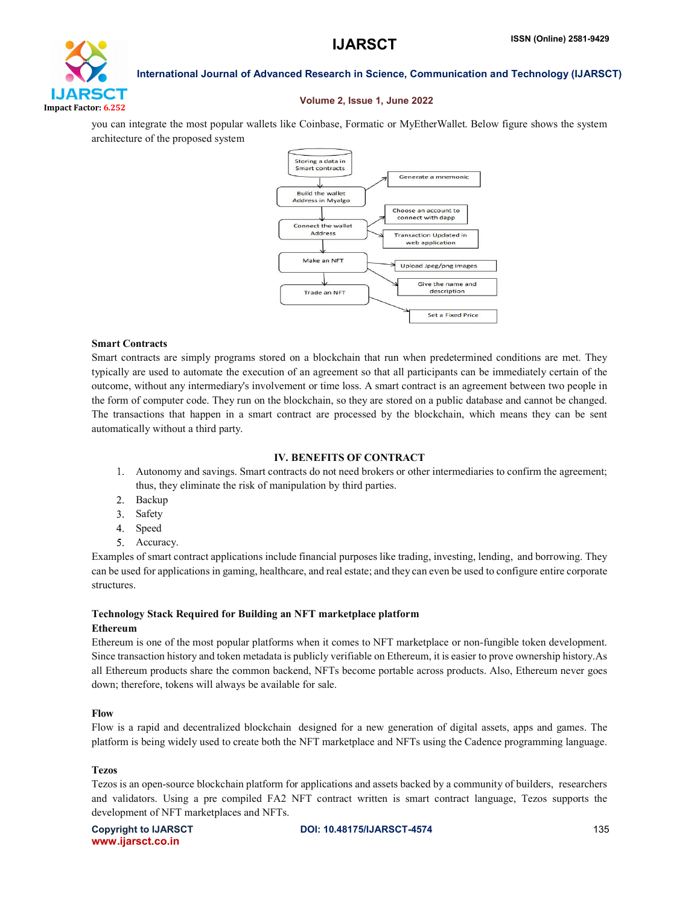

#### Volume 2, Issue 1, June 2022

you can integrate the most popular wallets like Coinbase, Formatic or MyEtherWallet. Below figure shows the system architecture of the proposed system



#### Smart Contracts

Smart contracts are simply programs stored on a blockchain that run when predetermined conditions are met. They typically are used to automate the execution of an agreement so that all participants can be immediately certain of the outcome, without any intermediary's involvement or time loss. A smart contract is an agreement between two people in the form of computer code. They run on the blockchain, so they are stored on a public database and cannot be changed. The transactions that happen in a smart contract are processed by the blockchain, which means they can be sent automatically without a third party.

# IV. BENEFITS OF CONTRACT

- Autonomy and savings. Smart contracts do not need brokers or other intermediaries to confirm the agreement; thus, they eliminate the risk of manipulation by third parties.
- 2. Backup
- 3. Safety
- Speed
- Accuracy. 5.

Examples of smart contract applications include financial purposes like trading, investing, lending, and borrowing. They can be used for applications in gaming, healthcare, and real estate; and they can even be used to configure entire corporate structures.

#### Technology Stack Required for Building an NFT marketplace platform Ethereum

Ethereum is one of the most popular platforms when it comes to NFT marketplace or non-fungible token development. Since transaction history and token metadata is publicly verifiable on Ethereum, it is easier to prove ownership history.As all Ethereum products share the common backend, NFTs become portable across products. Also, Ethereum never goes down; therefore, tokens will always be available for sale.

### Flow

Flow is a rapid and decentralized blockchain designed for a new generation of digital assets, apps and games. The platform is being widely used to create both the NFT marketplace and NFTs using the Cadence programming language.

### Tezos

Tezos is an open-source blockchain platform for applications and assets backed by a community of builders, researchers and validators. Using a pre compiled FA2 NFT contract written is smart contract language, Tezos supports the development of NFT marketplaces and NFTs.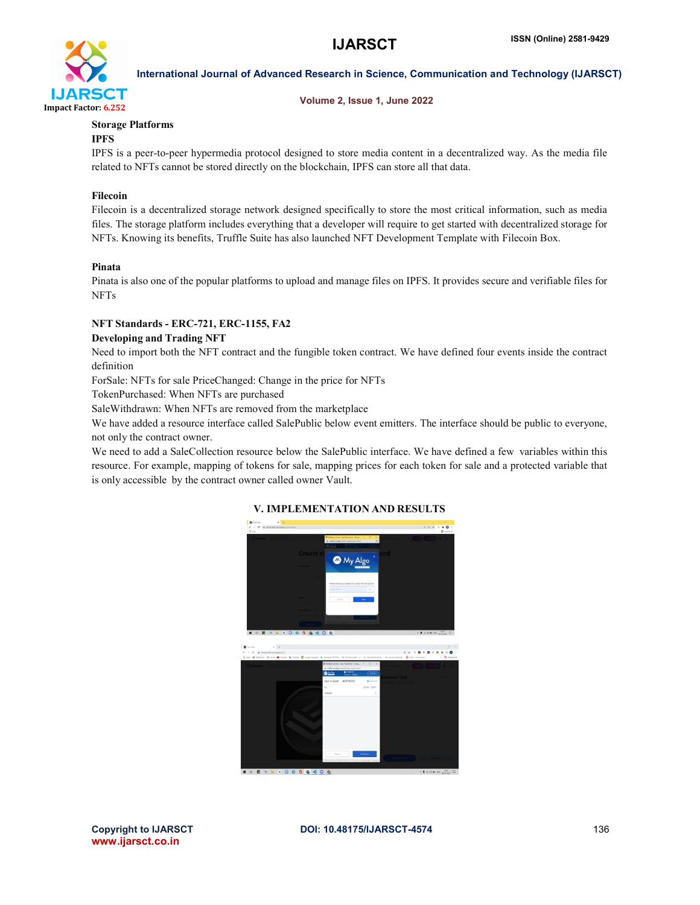

### Volume 2, Issue 1, June 2022

# Storage Platforms

# IPFS

IPFS is a peer-to-peer hypermedia protocol designed to store media content in a decentralized way. As the media file related to NFTs cannot be stored directly on the blockchain, IPFS can store all that data.

# Filecoin

Filecoin is a decentralized storage network designed specifically to store the most critical information, such as media files. The storage platform includes everything that a developer will require to get started with decentralized storage for NFTs. Knowing its benefits, Truffle Suite has also launched NFT Development Template with Filecoin Box.

### Pinata

Pinata is also one of the popular platforms to upload and manage files on IPFS. It provides secure and verifiable files for NFTs

# NFT Standards - ERC-721, ERC-1155, FA2

# Developing and Trading NFT

Need to import both the NFT contract and the fungible token contract. We have defined four events inside the contract definition

ForSale: NFTs for sale PriceChanged: Change in the price for NFTs

TokenPurchased: When NFTs are purchased

SaleWithdrawn: When NFTs are removed from the marketplace

We have added a resource interface called SalePublic below event emitters. The interface should be public to everyone, not only the contract owner.

We need to add a SaleCollection resource below the SalePublic interface. We have defined a few variables within this resource. For example, mapping of tokens for sale, mapping prices for each token for sale and a protected variable that is only accessible by the contract owner called owner Vault.



# V. IMPLEMENTATION AND RESULTS